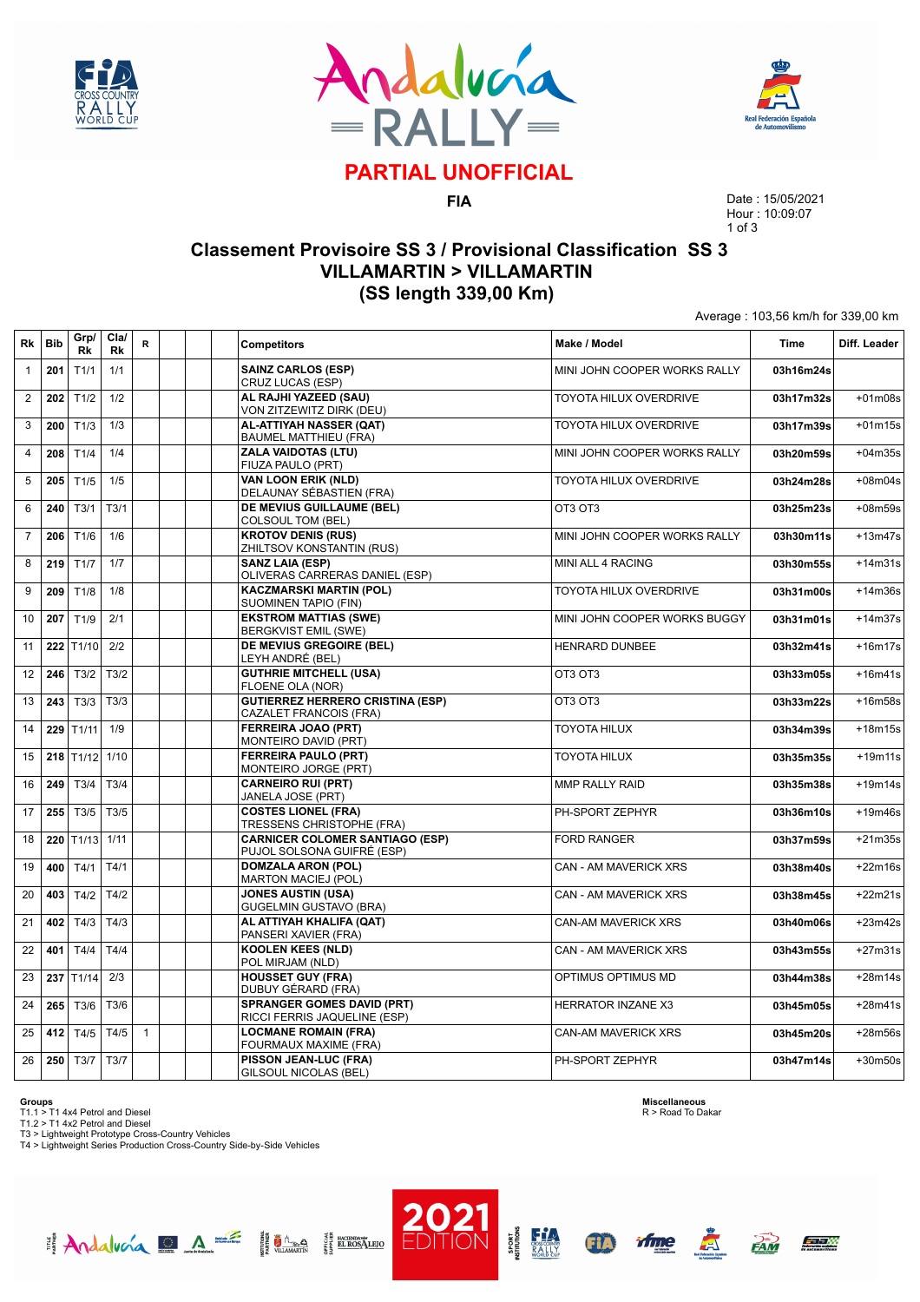





# **PARTIAL UNOFFICIAL**

**FIA**

Date : 15/05/2021 Hour : 10:09:07 1 of 3

Average : 103,56 km/h for 339,00 km

### **Classement Provisoire SS 3 / Provisional Classification SS 3 VILLAMARTIN > VILLAMARTIN (SS length 339,00 Km)**

| Rk             | <b>Bib</b> | Grp/<br>Rk | Cla/<br>Rk | R            | <b>Competitors</b>                                                   | Make / Model                  | <b>Time</b> | Diff. Leader |
|----------------|------------|------------|------------|--------------|----------------------------------------------------------------------|-------------------------------|-------------|--------------|
| $\mathbf{1}$   | 201        | T1/1       | 1/1        |              | <b>SAINZ CARLOS (ESP)</b><br>CRUZ LUCAS (ESP)                        | MINI JOHN COOPER WORKS RALLY  | 03h16m24s   |              |
| $\overline{2}$ | 202        | T1/2       | 1/2        |              | AL RAJHI YAZEED (SAU)<br>VON ZITZEWITZ DIRK (DEU)                    | TOYOTA HILUX OVERDRIVE        | 03h17m32s   | $+01m08s$    |
| 3              | 200        | T1/3       | 1/3        |              | AL-ATTIYAH NASSER (QAT)<br><b>BAUMEL MATTHIEU (FRA)</b>              | <b>TOYOTA HILUX OVERDRIVE</b> | 03h17m39s   | $+01m15s$    |
| $\overline{4}$ | 208        | T1/4       | 1/4        |              | <b>ZALA VAIDOTAS (LTU)</b><br>FIUZA PAULO (PRT)                      | MINI JOHN COOPER WORKS RALLY  | 03h20m59s   | $+04m35s$    |
| 5              | 205        | T1/5       | 1/5        |              | <b>VAN LOON ERIK (NLD)</b><br>DELAUNAY SÉBASTIEN (FRA)               | <b>TOYOTA HILUX OVERDRIVE</b> | 03h24m28s   | $+08m04s$    |
| 6              | 240        | T3/1       | T3/1       |              | DE MEVIUS GUILLAUME (BEL)<br>COLSOUL TOM (BEL)                       | OT3 OT3                       | 03h25m23s   | $+08m59s$    |
| $\overline{7}$ | 206        | T1/6       | 1/6        |              | <b>KROTOV DENIS (RUS)</b><br>ZHILTSOV KONSTANTIN (RUS)               | MINI JOHN COOPER WORKS RALLY  | 03h30m11s   | $+13m47s$    |
| 8              | 219        | T1/7       | 1/7        |              | <b>SANZ LAIA (ESP)</b><br>OLIVERAS CARRERAS DANIEL (ESP)             | MINI ALL 4 RACING             | 03h30m55s   | $+14m31s$    |
| 9              | 209        | T1/8       | 1/8        |              | <b>KACZMARSKI MARTIN (POL)</b><br>SUOMINEN TAPIO (FIN)               | TOYOTA HILUX OVERDRIVE        | 03h31m00s   | $+14m36s$    |
| 10             | 207        | T1/9       | 2/1        |              | <b>EKSTROM MATTIAS (SWE)</b><br><b>BERGKVIST EMIL (SWE)</b>          | MINI JOHN COOPER WORKS BUGGY  | 03h31m01s   | $+14m37s$    |
| 11             | 222        | T1/10      | 2/2        |              | DE MEVIUS GREGOIRE (BEL)<br>LEYH ANDRÉ (BEL)                         | HENRARD DUNBEE                | 03h32m41s   | $+16m17s$    |
| 12             | 246        | T3/2       | T3/2       |              | <b>GUTHRIE MITCHELL (USA)</b><br>FLOENE OLA (NOR)                    | OT3 OT3                       | 03h33m05s   | $+16m41s$    |
| 13             | 243        | T3/3       | T3/3       |              | <b>GUTIERREZ HERRERO CRISTINA (ESP)</b><br>CAZALET FRANCOIS (FRA)    | OT3 OT3                       | 03h33m22s   | $+16m58s$    |
| 14             | 229        | T1/11      | 1/9        |              | <b>FERREIRA JOAO (PRT)</b><br>MONTEIRO DAVID (PRT)                   | <b>TOYOTA HILUX</b>           | 03h34m39s   | $+18m15s$    |
| 15             | 218        | T1/12      | 1/10       |              | <b>FERREIRA PAULO (PRT)</b><br>MONTEIRO JORGE (PRT)                  | <b>TOYOTA HILUX</b>           | 03h35m35s   | $+19m11s$    |
| 16             | 249        | T3/4       | T3/4       |              | <b>CARNEIRO RUI (PRT)</b><br>JANELA JOSE (PRT)                       | MMP RALLY RAID                | 03h35m38s   | $+19m14s$    |
| 17             | 255        | T3/5       | T3/5       |              | <b>COSTES LIONEL (FRA)</b><br>TRESSENS CHRISTOPHE (FRA)              | PH-SPORT ZEPHYR               | 03h36m10s   | $+19m46s$    |
| 18             | 220        | T1/13      | 1/11       |              | <b>CARNICER COLOMER SANTIAGO (ESP)</b><br>PUJOL SOLSONA GUIFRÉ (ESP) | <b>FORD RANGER</b>            | 03h37m59s   | $+21m35s$    |
| 19             | 400        | T4/1       | T4/1       |              | <b>DOMZALA ARON (POL)</b><br><b>MARTON MACIEJ (POL)</b>              | <b>CAN - AM MAVERICK XRS</b>  | 03h38m40s   | $+22m16s$    |
| 20             | 403        | T4/2       | T4/2       |              | <b>JONES AUSTIN (USA)</b><br><b>GUGELMIN GUSTAVO (BRA)</b>           | <b>CAN - AM MAVERICK XRS</b>  | 03h38m45s   | $+22m21s$    |
| 21             | 402        | T4/3       | T4/3       |              | AL ATTIYAH KHALIFA (QAT)<br>PANSERI XAVIER (FRA)                     | <b>CAN-AM MAVERICK XRS</b>    | 03h40m06s   | $+23m42s$    |
| 22             | 401        | T4/4       | T4/4       |              | <b>KOOLEN KEES (NLD)</b><br>POL MIRJAM (NLD)                         | <b>CAN - AM MAVERICK XRS</b>  | 03h43m55s   | $+27m31s$    |
| 23             | 237        | T1/14      | 2/3        |              | <b>HOUSSET GUY (FRA)</b><br>DUBUY GÉRARD (FRA)                       | OPTIMUS OPTIMUS MD            | 03h44m38s   | $+28m14s$    |
| 24             | 265        | T3/6       | T3/6       |              | <b>SPRANGER GOMES DAVID (PRT)</b><br>RICCI FERRIS JAQUELINE (ESP)    | <b>HERRATOR INZANE X3</b>     | 03h45m05s   | $+28m41s$    |
| 25             | 412        | T4/5       | T4/5       | $\mathbf{1}$ | <b>LOCMANE ROMAIN (FRA)</b><br>FOURMAUX MAXIME (FRA)                 | <b>CAN-AM MAVERICK XRS</b>    | 03h45m20s   | $+28m56s$    |
| 26             | 250        | T3/7       | T3/7       |              | PISSON JEAN-LUC (FRA)<br><b>GILSOUL NICOLAS (BEL)</b>                | PH-SPORT ZEPHYR               | 03h47m14s   | $+30m50s$    |

**Groups**<br>T1.1 > T1 4x4 Petrol and Diesel<br>T1.2 > T1 4x2 Petrol and Diesel<br>T3 > Lightweight Prototype Cross-Country Vehicles<br>T4 > Lightweight Series Production Cross-Country Side-by-Side Vehicles

Andalucía DA E Hima HEROSTERO

**Miscellaneous** R > Road To Dakar



GPD

**PORT** 

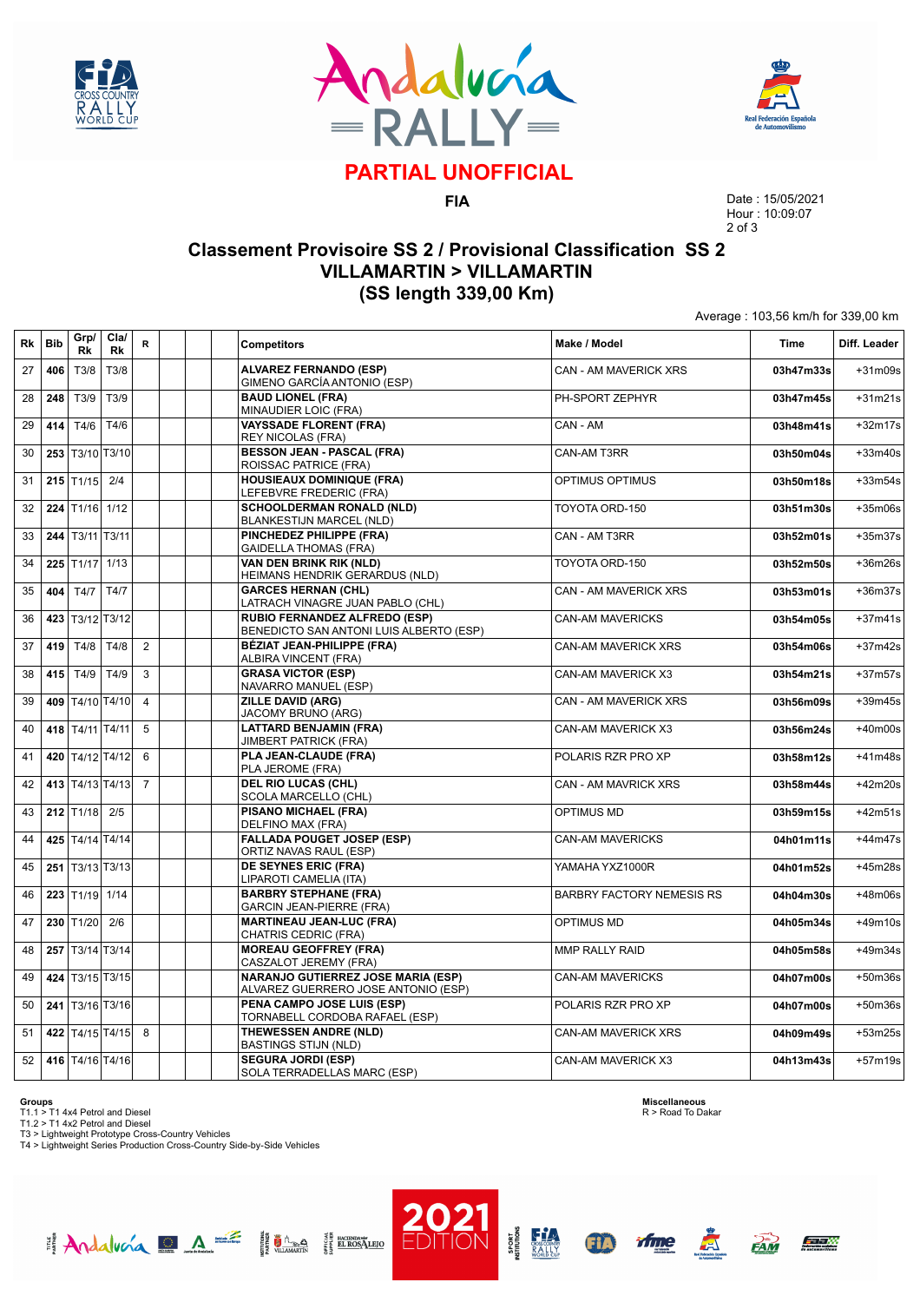





# **PARTIAL UNOFFICIAL**

**FIA**

Date : 15/05/2021 Hour : 10:09:07 2 of 3

Average : 103,56 km/h for 339,00 km

### **Classement Provisoire SS 2 / Provisional Classification SS 2 VILLAMARTIN > VILLAMARTIN (SS length 339,00 Km)**

| Rk | <b>Bib</b> | Grp/<br>Rk               | Cla/<br>Rk      | $\mathsf R$    | <b>Competitors</b>                                                               | Make / Model                     | <b>Time</b> | Diff. Leader |
|----|------------|--------------------------|-----------------|----------------|----------------------------------------------------------------------------------|----------------------------------|-------------|--------------|
| 27 | 406        | T3/8                     | T3/8            |                | <b>ALVAREZ FERNANDO (ESP)</b><br>GIMENO GARCÍA ANTONIO (ESP)                     | <b>CAN - AM MAVERICK XRS</b>     | 03h47m33s   | +31m09s      |
| 28 | 248        | T3/9                     | T3/9            |                | <b>BAUD LIONEL (FRA)</b><br>MINAUDIER LOIC (FRA)                                 | PH-SPORT ZEPHYR                  | 03h47m45s   | $+31m21s$    |
| 29 | 414        | T4/6                     | T4/6            |                | <b>VAYSSADE FLORENT (FRA)</b><br><b>REY NICOLAS (FRA)</b>                        | CAN - AM                         | 03h48m41s   | $+32m17s$    |
| 30 | 253        |                          | T3/10 T3/10     |                | <b>BESSON JEAN - PASCAL (FRA)</b><br>ROISSAC PATRICE (FRA)                       | CAN-AM T3RR                      | 03h50m04s   | +33m40s      |
| 31 |            | $215$ T <sub>1</sub> /15 | 2/4             |                | <b>HOUSIEAUX DOMINIQUE (FRA)</b><br>LEFEBVRE FREDERIC (FRA)                      | <b>OPTIMUS OPTIMUS</b>           | 03h50m18s   | $+33m54s$    |
| 32 | 224        | T1/16 1/12               |                 |                | <b>SCHOOLDERMAN RONALD (NLD)</b><br><b>BLANKESTIJN MARCEL (NLD)</b>              | TOYOTA ORD-150                   | 03h51m30s   | +35m06s      |
| 33 | 244        | T3/11 T3/11              |                 |                | PINCHEDEZ PHILIPPE (FRA)<br><b>GAIDELLA THOMAS (FRA)</b>                         | CAN - AM T3RR                    | 03h52m01s   | $+35m37s$    |
| 34 | 225        | $T1/17$ 1/13             |                 |                | <b>VAN DEN BRINK RIK (NLD)</b><br>HEIMANS HENDRIK GERARDUS (NLD)                 | TOYOTA ORD-150                   | 03h52m50s   | +36m26s      |
| 35 | 404        | T4/7                     | T4/7            |                | <b>GARCES HERNAN (CHL)</b><br>LATRACH VINAGRE JUAN PABLO (CHL)                   | CAN - AM MAVERICK XRS            | 03h53m01s   | $+36m37s$    |
| 36 |            | 423 T3/12 T3/12          |                 |                | RUBIO FERNANDEZ ALFREDO (ESP)<br>BENEDICTO SAN ANTONI LUIS ALBERTO (ESP)         | <b>CAN-AM MAVERICKS</b>          | 03h54m05s   | $+37m41s$    |
| 37 | 419        | T4/8                     | T4/8            | $\overline{2}$ | <b>BÉZIAT JEAN-PHILIPPE (FRA)</b><br>ALBIRA VINCENT (FRA)                        | <b>CAN-AM MAVERICK XRS</b>       | 03h54m06s   | $+37m42s$    |
| 38 | 415        | T4/9                     | T4/9            | 3              | <b>GRASA VICTOR (ESP)</b><br>NAVARRO MANUEL (ESP)                                | CAN-AM MAVERICK X3               | 03h54m21s   | +37m57s      |
| 39 |            |                          | 409 T4/10 T4/10 | $\overline{4}$ | <b>ZILLE DAVID (ARG)</b><br>JACOMY BRUNO (ARG)                                   | CAN - AM MAVERICK XRS            | 03h56m09s   | $+39m45s$    |
| 40 |            | 418 T4/11 T4/11          |                 | 5              | <b>LATTARD BENJAMIN (FRA)</b><br><b>JIMBERT PATRICK (FRA)</b>                    | CAN-AM MAVERICK X3               | 03h56m24s   | $+40m00s$    |
| 41 | 420        | T4/12 T4/12              |                 | 6              | PLA JEAN-CLAUDE (FRA)<br>PLA JEROME (FRA)                                        | POLARIS RZR PRO XP               | 03h58m12s   | $+41m48s$    |
| 42 |            |                          | 413 T4/13 T4/13 | $\overline{7}$ | <b>DEL RIO LUCAS (CHL)</b><br>SCOLA MARCELLO (CHL)                               | CAN - AM MAVRICK XRS             | 03h58m44s   | $+42m20s$    |
| 43 |            | $212$ T <sub>1/18</sub>  | 2/5             |                | <b>PISANO MICHAEL (FRA)</b><br>DELFINO MAX (FRA)                                 | OPTIMUS MD                       | 03h59m15s   | $+42m51s$    |
| 44 |            | 425 T4/14 T4/14          |                 |                | <b>FALLADA POUGET JOSEP (ESP)</b><br>ORTIZ NAVAS RAUL (ESP)                      | <b>CAN-AM MAVERICKS</b>          | 04h01m11s   | $+44m47s$    |
| 45 | 251        | T3/13 T3/13              |                 |                | DE SEYNES ERIC (FRA)<br>LIPAROTI CAMELIA (ITA)                                   | YAMAHA YXZ1000R                  | 04h01m52s   | +45m28s      |
| 46 |            | 223 T1/19 1/14           |                 |                | <b>BARBRY STEPHANE (FRA)</b><br><b>GARCIN JEAN-PIERRE (FRA)</b>                  | <b>BARBRY FACTORY NEMESIS RS</b> | 04h04m30s   | +48m06s      |
| 47 | 230        | T1/20                    | 2/6             |                | <b>MARTINEAU JEAN-LUC (FRA)</b><br>CHATRIS CEDRIC (FRA)                          | <b>OPTIMUS MD</b>                | 04h05m34s   | $+49m10s$    |
| 48 | 257        |                          | T3/14 T3/14     |                | <b>MOREAU GEOFFREY (FRA)</b><br>CASZALOT JEREMY (FRA)                            | MMP RALLY RAID                   | 04h05m58s   | $+49m34s$    |
| 49 |            |                          | 424 T3/15 T3/15 |                | <b>NARANJO GUTIERREZ JOSE MARIA (ESP)</b><br>ALVAREZ GUERRERO JOSE ANTONIO (ESP) | <b>CAN-AM MAVERICKS</b>          | 04h07m00s   | +50m36s      |
| 50 |            | 241 T3/16 T3/16          |                 |                | PENA CAMPO JOSE LUIS (ESP)<br>TORNABELL CORDOBA RAFAEL (ESP)                     | POLARIS RZR PRO XP               | 04h07m00s   | $+50m36s$    |
| 51 |            |                          | 422 T4/15 T4/15 | 8              | THEWESSEN ANDRE (NLD)<br><b>BASTINGS STIJN (NLD)</b>                             | <b>CAN-AM MAVERICK XRS</b>       | 04h09m49s   | +53m25s      |
| 52 |            |                          | 416 T4/16 T4/16 |                | <b>SEGURA JORDI (ESP)</b><br>SOLA TERRADELLAS MARC (ESP)                         | CAN-AM MAVERICK X3               | 04h13m43s   | $+57m19s$    |

**Groups**<br>T1.1 > T1 4x4 Petrol and Diesel<br>T1.2 > T1 4x2 Petrol and Diesel<br>T3 > Lightweight Prototype Cross-Country Vehicles<br>T4 > Lightweight Series Production Cross-Country Side-by-Side Vehicles

Andalucía DA E Hima HEROSTERO

**Miscellaneous** R > Road To Dakar





**PORT**